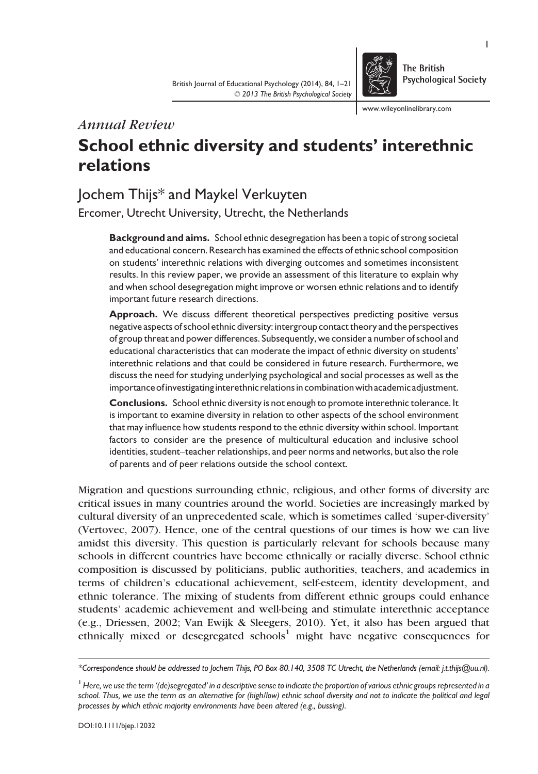

The British **Psychological Society** 

www.wileyonlinelibrary.com

# Annual Review

# School ethnic diversity and students' interethnic relations

# Jochem Thijs\* and Maykel Verkuyten

Ercomer, Utrecht University, Utrecht, the Netherlands

Background and aims. School ethnic desegregation has been a topic of strong societal and educational concern. Research has examined the effects of ethnic school composition on students' interethnic relations with diverging outcomes and sometimes inconsistent results. In this review paper, we provide an assessment of this literature to explain why and when school desegregation might improve or worsen ethnic relations and to identify important future research directions.

Approach. We discuss different theoretical perspectives predicting positive versus negative aspects of school ethnic diversity: intergroup contact theory and the perspectives of group threat and power differences. Subsequently, we consider a number of school and educational characteristics that can moderate the impact of ethnic diversity on students' interethnic relations and that could be considered in future research. Furthermore, we discuss the need for studying underlying psychological and social processes as well as the importance ofinvestigating interethnic relations in combinationwith academic adjustment.

Conclusions. School ethnic diversity is not enough to promote interethnic tolerance. It is important to examine diversity in relation to other aspects of the school environment that may influence how students respond to the ethnic diversity within school. Important factors to consider are the presence of multicultural education and inclusive school identities, student–teacher relationships, and peer norms and networks, but also the role of parents and of peer relations outside the school context.

Migration and questions surrounding ethnic, religious, and other forms of diversity are critical issues in many countries around the world. Societies are increasingly marked by cultural diversity of an unprecedented scale, which is sometimes called 'super-diversity' (Vertovec, 2007). Hence, one of the central questions of our times is how we can live amidst this diversity. This question is particularly relevant for schools because many schools in different countries have become ethnically or racially diverse. School ethnic composition is discussed by politicians, public authorities, teachers, and academics in terms of children's educational achievement, self-esteem, identity development, and ethnic tolerance. The mixing of students from different ethnic groups could enhance students' academic achievement and well-being and stimulate interethnic acceptance (e.g., Driessen, 2002; Van Ewijk & Sleegers, 2010). Yet, it also has been argued that ethnically mixed or desegregated schools<sup>1</sup> might have negative consequences for

<sup>\*</sup>Correspondence should be addressed to Jochem Thijs, PO Box 80.140, 3508 TC Utrecht, the Netherlands (email: j.t.thijs@uu.nl).

<sup>&</sup>lt;sup>1</sup> Here, we use the term '(de)segregated' in a descriptive sense to indicate the proportion of various ethnic groups represented in a school. Thus, we use the term as an alternative for (high/low) ethnic school diversity and not to indicate the political and legal processes by which ethnic majority environments have been altered (e.g., bussing).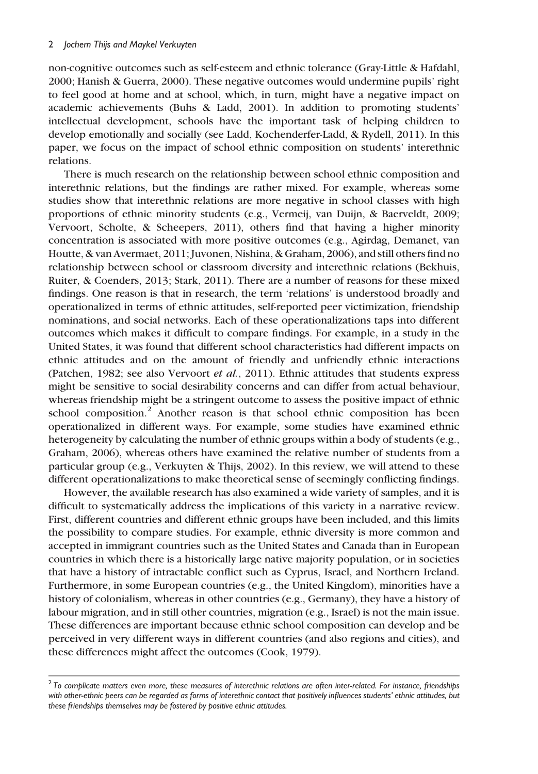non-cognitive outcomes such as self-esteem and ethnic tolerance (Gray-Little & Hafdahl, 2000; Hanish & Guerra, 2000). These negative outcomes would undermine pupils' right to feel good at home and at school, which, in turn, might have a negative impact on academic achievements (Buhs & Ladd, 2001). In addition to promoting students' intellectual development, schools have the important task of helping children to develop emotionally and socially (see Ladd, Kochenderfer-Ladd, & Rydell, 2011). In this paper, we focus on the impact of school ethnic composition on students' interethnic relations.

There is much research on the relationship between school ethnic composition and interethnic relations, but the findings are rather mixed. For example, whereas some studies show that interethnic relations are more negative in school classes with high proportions of ethnic minority students (e.g., Vermeij, van Duijn, & Baerveldt, 2009; Vervoort, Scholte, & Scheepers, 2011), others find that having a higher minority concentration is associated with more positive outcomes (e.g., Agirdag, Demanet, van Houtte, & van Avermaet, 2011; Juvonen, Nishina, & Graham, 2006), and still others find no relationship between school or classroom diversity and interethnic relations (Bekhuis, Ruiter, & Coenders, 2013; Stark, 2011). There are a number of reasons for these mixed findings. One reason is that in research, the term 'relations' is understood broadly and operationalized in terms of ethnic attitudes, self-reported peer victimization, friendship nominations, and social networks. Each of these operationalizations taps into different outcomes which makes it difficult to compare findings. For example, in a study in the United States, it was found that different school characteristics had different impacts on ethnic attitudes and on the amount of friendly and unfriendly ethnic interactions (Patchen, 1982; see also Vervoort et al., 2011). Ethnic attitudes that students express might be sensitive to social desirability concerns and can differ from actual behaviour, whereas friendship might be a stringent outcome to assess the positive impact of ethnic school composition.<sup>2</sup> Another reason is that school ethnic composition has been operationalized in different ways. For example, some studies have examined ethnic heterogeneity by calculating the number of ethnic groups within a body of students (e.g., Graham, 2006), whereas others have examined the relative number of students from a particular group (e.g., Verkuyten & Thijs, 2002). In this review, we will attend to these different operationalizations to make theoretical sense of seemingly conflicting findings.

However, the available research has also examined a wide variety of samples, and it is difficult to systematically address the implications of this variety in a narrative review. First, different countries and different ethnic groups have been included, and this limits the possibility to compare studies. For example, ethnic diversity is more common and accepted in immigrant countries such as the United States and Canada than in European countries in which there is a historically large native majority population, or in societies that have a history of intractable conflict such as Cyprus, Israel, and Northern Ireland. Furthermore, in some European countries (e.g., the United Kingdom), minorities have a history of colonialism, whereas in other countries (e.g., Germany), they have a history of labour migration, and in still other countries, migration (e.g., Israel) is not the main issue. These differences are important because ethnic school composition can develop and be perceived in very different ways in different countries (and also regions and cities), and these differences might affect the outcomes (Cook, 1979).

 $2$  To comblicate matters even more, these measures of interethnic relations are often inter-related. For instance, friendships with other-ethnic peers can be regarded as forms of interethnic contact that positively influences students' ethnic attitudes, but these friendships themselves may be fostered by positive ethnic attitudes.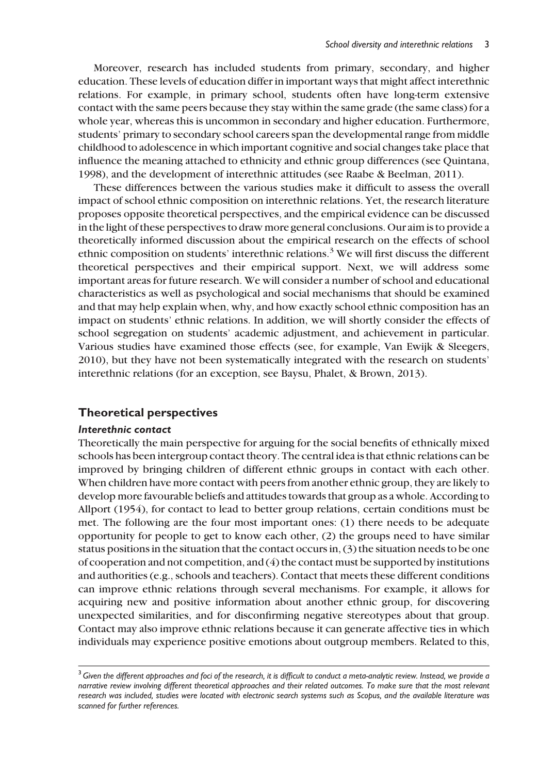Moreover, research has included students from primary, secondary, and higher education. These levels of education differ in important ways that might affect interethnic relations. For example, in primary school, students often have long-term extensive contact with the same peers because they stay within the same grade (the same class) for a whole year, whereas this is uncommon in secondary and higher education. Furthermore, students' primary to secondary school careers span the developmental range from middle childhood to adolescence in which important cognitive and social changes take place that influence the meaning attached to ethnicity and ethnic group differences (see Quintana, 1998), and the development of interethnic attitudes (see Raabe & Beelman, 2011).

These differences between the various studies make it difficult to assess the overall impact of school ethnic composition on interethnic relations. Yet, the research literature proposes opposite theoretical perspectives, and the empirical evidence can be discussed in the light of these perspectives to draw more general conclusions. Our aim is to provide a theoretically informed discussion about the empirical research on the effects of school ethnic composition on students' interethnic relations.<sup>3</sup> We will first discuss the different theoretical perspectives and their empirical support. Next, we will address some important areas for future research. We will consider a number of school and educational characteristics as well as psychological and social mechanisms that should be examined and that may help explain when, why, and how exactly school ethnic composition has an impact on students' ethnic relations. In addition, we will shortly consider the effects of school segregation on students' academic adjustment, and achievement in particular. Various studies have examined those effects (see, for example, Van Ewijk & Sleegers, 2010), but they have not been systematically integrated with the research on students' interethnic relations (for an exception, see Baysu, Phalet, & Brown, 2013).

# Theoretical perspectives

# Interethnic contact

Theoretically the main perspective for arguing for the social benefits of ethnically mixed schools has been intergroup contact theory. The central idea is that ethnic relations can be improved by bringing children of different ethnic groups in contact with each other. When children have more contact with peers from another ethnic group, they are likely to develop more favourable beliefs and attitudes towards that group as a whole. According to Allport (1954), for contact to lead to better group relations, certain conditions must be met. The following are the four most important ones: (1) there needs to be adequate opportunity for people to get to know each other, (2) the groups need to have similar status positions in the situation that the contact occurs in, (3) the situation needs to be one of cooperation and not competition, and (4) the contact must be supported by institutions and authorities (e.g., schools and teachers). Contact that meets these different conditions can improve ethnic relations through several mechanisms. For example, it allows for acquiring new and positive information about another ethnic group, for discovering unexpected similarities, and for disconfirming negative stereotypes about that group. Contact may also improve ethnic relations because it can generate affective ties in which individuals may experience positive emotions about outgroup members. Related to this,

 $3$  Given the different approaches and foci of the research, it is difficult to conduct a meta-analytic review. Instead, we provide a narrative review involving different theoretical approaches and their related outcomes. To make sure that the most relevant research was included, studies were located with electronic search systems such as Scopus, and the available literature was scanned for further references.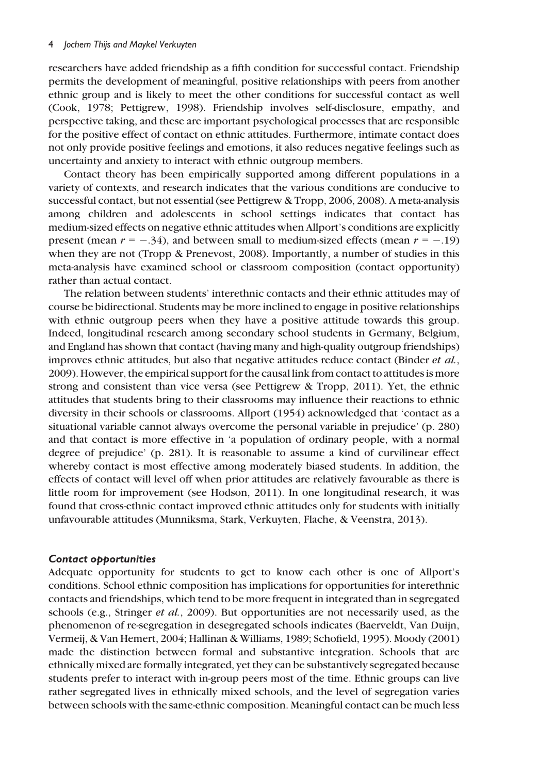researchers have added friendship as a fifth condition for successful contact. Friendship permits the development of meaningful, positive relationships with peers from another ethnic group and is likely to meet the other conditions for successful contact as well (Cook, 1978; Pettigrew, 1998). Friendship involves self-disclosure, empathy, and perspective taking, and these are important psychological processes that are responsible for the positive effect of contact on ethnic attitudes. Furthermore, intimate contact does not only provide positive feelings and emotions, it also reduces negative feelings such as uncertainty and anxiety to interact with ethnic outgroup members.

Contact theory has been empirically supported among different populations in a variety of contexts, and research indicates that the various conditions are conducive to successful contact, but not essential (see Pettigrew & Tropp, 2006, 2008). A meta-analysis among children and adolescents in school settings indicates that contact has medium-sized effects on negative ethnic attitudes when Allport's conditions are explicitly present (mean  $r = -.34$ ), and between small to medium-sized effects (mean  $r = -.19$ ) when they are not (Tropp & Prenevost, 2008). Importantly, a number of studies in this meta-analysis have examined school or classroom composition (contact opportunity) rather than actual contact.

The relation between students' interethnic contacts and their ethnic attitudes may of course be bidirectional. Students may be more inclined to engage in positive relationships with ethnic outgroup peers when they have a positive attitude towards this group. Indeed, longitudinal research among secondary school students in Germany, Belgium, and England has shown that contact (having many and high-quality outgroup friendships) improves ethnic attitudes, but also that negative attitudes reduce contact (Binder et al., 2009). However, the empirical support for the causal link from contact to attitudes is more strong and consistent than vice versa (see Pettigrew & Tropp, 2011). Yet, the ethnic attitudes that students bring to their classrooms may influence their reactions to ethnic diversity in their schools or classrooms. Allport (1954) acknowledged that 'contact as a situational variable cannot always overcome the personal variable in prejudice' (p. 280) and that contact is more effective in 'a population of ordinary people, with a normal degree of prejudice' (p. 281). It is reasonable to assume a kind of curvilinear effect whereby contact is most effective among moderately biased students. In addition, the effects of contact will level off when prior attitudes are relatively favourable as there is little room for improvement (see Hodson, 2011). In one longitudinal research, it was found that cross-ethnic contact improved ethnic attitudes only for students with initially unfavourable attitudes (Munniksma, Stark, Verkuyten, Flache, & Veenstra, 2013).

#### Contact opportunities

Adequate opportunity for students to get to know each other is one of Allport's conditions. School ethnic composition has implications for opportunities for interethnic contacts and friendships, which tend to be more frequent in integrated than in segregated schools (e.g., Stringer et al., 2009). But opportunities are not necessarily used, as the phenomenon of re-segregation in desegregated schools indicates (Baerveldt, Van Duijn, Vermeij, & Van Hemert, 2004; Hallinan & Williams, 1989; Schofield, 1995). Moody (2001) made the distinction between formal and substantive integration. Schools that are ethnically mixed are formally integrated, yet they can be substantively segregated because students prefer to interact with in-group peers most of the time. Ethnic groups can live rather segregated lives in ethnically mixed schools, and the level of segregation varies between schools with the same-ethnic composition. Meaningful contact can be much less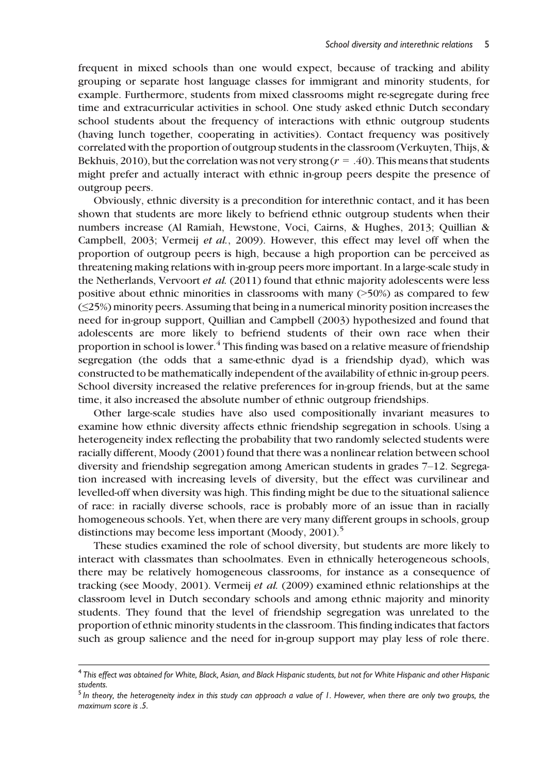frequent in mixed schools than one would expect, because of tracking and ability grouping or separate host language classes for immigrant and minority students, for example. Furthermore, students from mixed classrooms might re-segregate during free time and extracurricular activities in school. One study asked ethnic Dutch secondary school students about the frequency of interactions with ethnic outgroup students (having lunch together, cooperating in activities). Contact frequency was positively correlated with the proportion of outgroup students in the classroom (Verkuyten, Thijs, & Bekhuis, 2010), but the correlation was not very strong  $(r = .40)$ . This means that students might prefer and actually interact with ethnic in-group peers despite the presence of outgroup peers.

Obviously, ethnic diversity is a precondition for interethnic contact, and it has been shown that students are more likely to befriend ethnic outgroup students when their numbers increase (Al Ramiah, Hewstone, Voci, Cairns, & Hughes, 2013; Quillian & Campbell, 2003; Vermeij et al., 2009). However, this effect may level off when the proportion of outgroup peers is high, because a high proportion can be perceived as threatening making relations with in-group peers more important. In a large-scale study in the Netherlands, Vervoort et al. (2011) found that ethnic majority adolescents were less positive about ethnic minorities in classrooms with many  $($ >50%) as compared to few (≤25%) minority peers. Assuming that being in a numerical minority position increases the need for in-group support, Quillian and Campbell (2003) hypothesized and found that adolescents are more likely to befriend students of their own race when their proportion in school is lower.<sup>4</sup> This finding was based on a relative measure of friendship segregation (the odds that a same-ethnic dyad is a friendship dyad), which was constructed to be mathematically independent of the availability of ethnic in-group peers. School diversity increased the relative preferences for in-group friends, but at the same time, it also increased the absolute number of ethnic outgroup friendships.

Other large-scale studies have also used compositionally invariant measures to examine how ethnic diversity affects ethnic friendship segregation in schools. Using a heterogeneity index reflecting the probability that two randomly selected students were racially different, Moody (2001) found that there was a nonlinear relation between school diversity and friendship segregation among American students in grades 7–12. Segregation increased with increasing levels of diversity, but the effect was curvilinear and levelled-off when diversity was high. This finding might be due to the situational salience of race: in racially diverse schools, race is probably more of an issue than in racially homogeneous schools. Yet, when there are very many different groups in schools, group distinctions may become less important (Moody, 2001).<sup>5</sup>

These studies examined the role of school diversity, but students are more likely to interact with classmates than schoolmates. Even in ethnically heterogeneous schools, there may be relatively homogeneous classrooms, for instance as a consequence of tracking (see Moody, 2001). Vermeij et al. (2009) examined ethnic relationships at the classroom level in Dutch secondary schools and among ethnic majority and minority students. They found that the level of friendship segregation was unrelated to the proportion of ethnic minority students in the classroom. This finding indicates that factors such as group salience and the need for in-group support may play less of role there.

<sup>&</sup>lt;sup>4</sup> This effect was obtained for White, Black, Asian, and Black Hispanic students, but not for White Hispanic and other Hispanic students.

 $5$  In theory, the heterogeneity index in this study can approach a value of 1. However, when there are only two groups, the maximum score is 5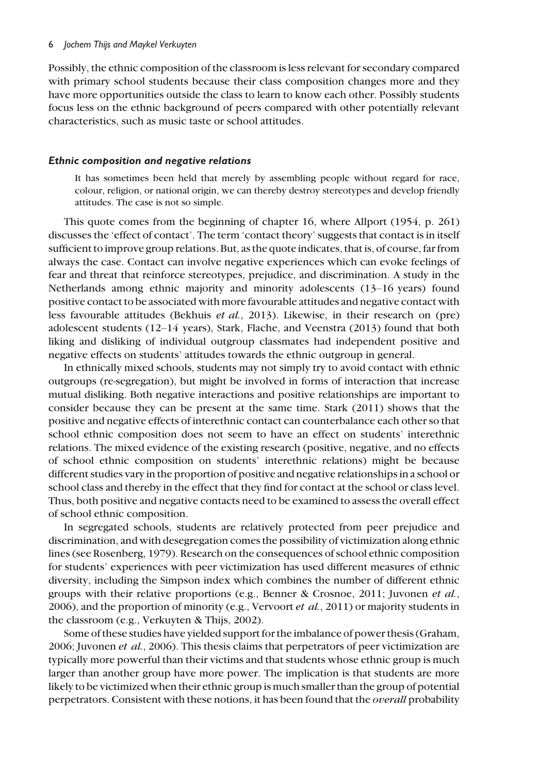Possibly, the ethnic composition of the classroom is less relevant for secondary compared with primary school students because their class composition changes more and they have more opportunities outside the class to learn to know each other. Possibly students focus less on the ethnic background of peers compared with other potentially relevant characteristics, such as music taste or school attitudes.

#### Ethnic composition and negative relations

It has sometimes been held that merely by assembling people without regard for race, colour, religion, or national origin, we can thereby destroy stereotypes and develop friendly attitudes. The case is not so simple.

This quote comes from the beginning of chapter 16, where Allport (1954, p. 261) discusses the 'effect of contact'. The term 'contact theory' suggests that contact is in itself sufficient to improve group relations. But, as the quote indicates, that is, of course, far from always the case. Contact can involve negative experiences which can evoke feelings of fear and threat that reinforce stereotypes, prejudice, and discrimination. A study in the Netherlands among ethnic majority and minority adolescents (13–16 years) found positive contact to be associated with more favourable attitudes and negative contact with less favourable attitudes (Bekhuis et al., 2013). Likewise, in their research on (pre) adolescent students (12–14 years), Stark, Flache, and Veenstra (2013) found that both liking and disliking of individual outgroup classmates had independent positive and negative effects on students' attitudes towards the ethnic outgroup in general.

In ethnically mixed schools, students may not simply try to avoid contact with ethnic outgroups (re-segregation), but might be involved in forms of interaction that increase mutual disliking. Both negative interactions and positive relationships are important to consider because they can be present at the same time. Stark (2011) shows that the positive and negative effects of interethnic contact can counterbalance each other so that school ethnic composition does not seem to have an effect on students' interethnic relations. The mixed evidence of the existing research (positive, negative, and no effects of school ethnic composition on students' interethnic relations) might be because different studies vary in the proportion of positive and negative relationships in a school or school class and thereby in the effect that they find for contact at the school or class level. Thus, both positive and negative contacts need to be examined to assess the overall effect of school ethnic composition.

In segregated schools, students are relatively protected from peer prejudice and discrimination, and with desegregation comes the possibility of victimization along ethnic lines (see Rosenberg, 1979). Research on the consequences of school ethnic composition for students' experiences with peer victimization has used different measures of ethnic diversity, including the Simpson index which combines the number of different ethnic groups with their relative proportions (e.g., Benner & Crosnoe, 2011; Juvonen et al., 2006), and the proportion of minority (e.g., Vervoort *et al.*, 2011) or majority students in the classroom (e.g., Verkuyten & Thijs, 2002).

Some of these studies have yielded support for the imbalance of power thesis (Graham, 2006; Juvonen et al., 2006). This thesis claims that perpetrators of peer victimization are typically more powerful than their victims and that students whose ethnic group is much larger than another group have more power. The implication is that students are more likely to be victimized when their ethnic group is much smaller than the group of potential perpetrators. Consistent with these notions, it has been found that the overall probability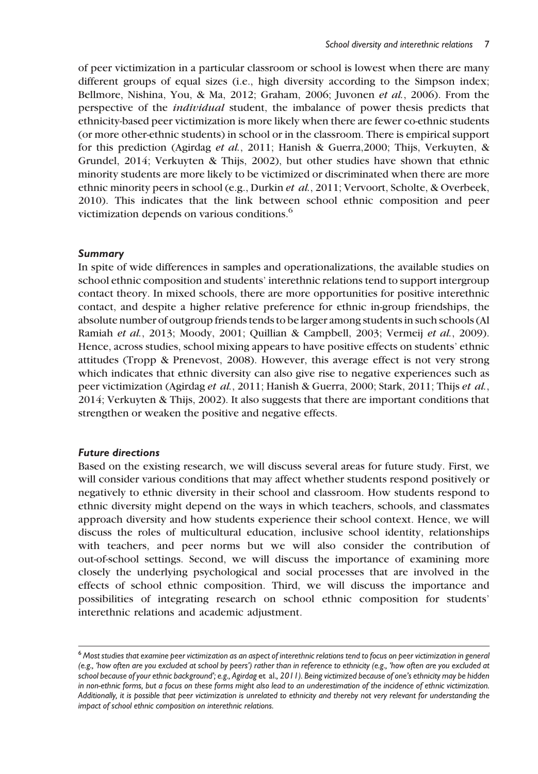of peer victimization in a particular classroom or school is lowest when there are many different groups of equal sizes (i.e., high diversity according to the Simpson index; Bellmore, Nishina, You, & Ma, 2012; Graham, 2006; Juvonen et al., 2006). From the perspective of the individual student, the imbalance of power thesis predicts that ethnicity-based peer victimization is more likely when there are fewer co-ethnic students (or more other-ethnic students) in school or in the classroom. There is empirical support for this prediction (Agirdag et al., 2011; Hanish & Guerra,2000; Thijs, Verkuyten, & Grundel, 2014; Verkuyten & Thijs, 2002), but other studies have shown that ethnic minority students are more likely to be victimized or discriminated when there are more ethnic minority peers in school (e.g., Durkin et al., 2011; Vervoort, Scholte, & Overbeek, 2010). This indicates that the link between school ethnic composition and peer victimization depends on various conditions.<sup>6</sup>

### Summary

In spite of wide differences in samples and operationalizations, the available studies on school ethnic composition and students' interethnic relations tend to support intergroup contact theory. In mixed schools, there are more opportunities for positive interethnic contact, and despite a higher relative preference for ethnic in-group friendships, the absolute number of outgroup friends tends to be larger among students in such schools (Al Ramiah et al., 2013; Moody, 2001; Quillian & Campbell, 2003; Vermeij et al., 2009). Hence, across studies, school mixing appears to have positive effects on students' ethnic attitudes (Tropp & Prenevost, 2008). However, this average effect is not very strong which indicates that ethnic diversity can also give rise to negative experiences such as peer victimization (Agirdag et al., 2011; Hanish & Guerra, 2000; Stark, 2011; Thijs et al., 2014; Verkuyten & Thijs, 2002). It also suggests that there are important conditions that strengthen or weaken the positive and negative effects.

# Future directions

Based on the existing research, we will discuss several areas for future study. First, we will consider various conditions that may affect whether students respond positively or negatively to ethnic diversity in their school and classroom. How students respond to ethnic diversity might depend on the ways in which teachers, schools, and classmates approach diversity and how students experience their school context. Hence, we will discuss the roles of multicultural education, inclusive school identity, relationships with teachers, and peer norms but we will also consider the contribution of out-of-school settings. Second, we will discuss the importance of examining more closely the underlying psychological and social processes that are involved in the effects of school ethnic composition. Third, we will discuss the importance and possibilities of integrating research on school ethnic composition for students' interethnic relations and academic adjustment.

<sup>6</sup> Most studies that examine peer victimization as an aspect of interethnic relations tend to focus on peer victimization in general (e.g., 'how often are you excluded at school by peers') rather than in reference to ethnicity (e.g., 'how often are you excluded at school because of your ethnic background'; e.g., Agirdag et al., 2011). Being victimized because of one's ethnicity may be hidden in non-ethnic forms, but a focus on these forms might also lead to an underestimation of the incidence of ethnic victimization. Additionally, it is possible that peer victimization is unrelated to ethnicity and thereby not very relevant for understanding the impact of school ethnic composition on interethnic relations.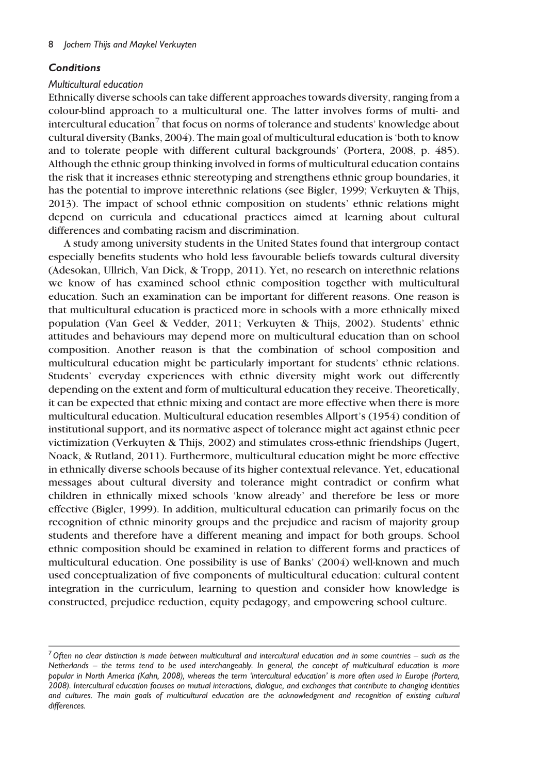### **Conditions**

#### Multicultural education

Ethnically diverse schools can take different approaches towards diversity, ranging from a colour-blind approach to a multicultural one. The latter involves forms of multi- and intercultural education<sup>7</sup> that focus on norms of tolerance and students' knowledge about cultural diversity (Banks, 2004). The main goal of multicultural education is 'both to know and to tolerate people with different cultural backgrounds' (Portera, 2008, p. 485). Although the ethnic group thinking involved in forms of multicultural education contains the risk that it increases ethnic stereotyping and strengthens ethnic group boundaries, it has the potential to improve interethnic relations (see Bigler, 1999; Verkuyten & Thijs, 2013). The impact of school ethnic composition on students' ethnic relations might depend on curricula and educational practices aimed at learning about cultural differences and combating racism and discrimination.

A study among university students in the United States found that intergroup contact especially benefits students who hold less favourable beliefs towards cultural diversity (Adesokan, Ullrich, Van Dick, & Tropp, 2011). Yet, no research on interethnic relations we know of has examined school ethnic composition together with multicultural education. Such an examination can be important for different reasons. One reason is that multicultural education is practiced more in schools with a more ethnically mixed population (Van Geel & Vedder, 2011; Verkuyten & Thijs, 2002). Students' ethnic attitudes and behaviours may depend more on multicultural education than on school composition. Another reason is that the combination of school composition and multicultural education might be particularly important for students' ethnic relations. Students' everyday experiences with ethnic diversity might work out differently depending on the extent and form of multicultural education they receive. Theoretically, it can be expected that ethnic mixing and contact are more effective when there is more multicultural education. Multicultural education resembles Allport's (1954) condition of institutional support, and its normative aspect of tolerance might act against ethnic peer victimization (Verkuyten & Thijs, 2002) and stimulates cross-ethnic friendships (Jugert, Noack, & Rutland, 2011). Furthermore, multicultural education might be more effective in ethnically diverse schools because of its higher contextual relevance. Yet, educational messages about cultural diversity and tolerance might contradict or confirm what children in ethnically mixed schools 'know already' and therefore be less or more effective (Bigler, 1999). In addition, multicultural education can primarily focus on the recognition of ethnic minority groups and the prejudice and racism of majority group students and therefore have a different meaning and impact for both groups. School ethnic composition should be examined in relation to different forms and practices of multicultural education. One possibility is use of Banks' (2004) well-known and much used conceptualization of five components of multicultural education: cultural content integration in the curriculum, learning to question and consider how knowledge is constructed, prejudice reduction, equity pedagogy, and empowering school culture.

 $^7$  Often no clear distinction is made between multicultural and intercultural education and in some countries – such as the Netherlands – the terms tend to be used interchangeably. In general, the concept of multicultural education is more popular in North America (Kahn, 2008), whereas the term 'intercultural education' is more often used in Europe (Portera, 2008). Intercultural education focuses on mutual interactions, dialogue, and exchanges that contribute to changing identities and cultures. The main goals of multicultural education are the acknowledgment and recognition of existing cultural differences.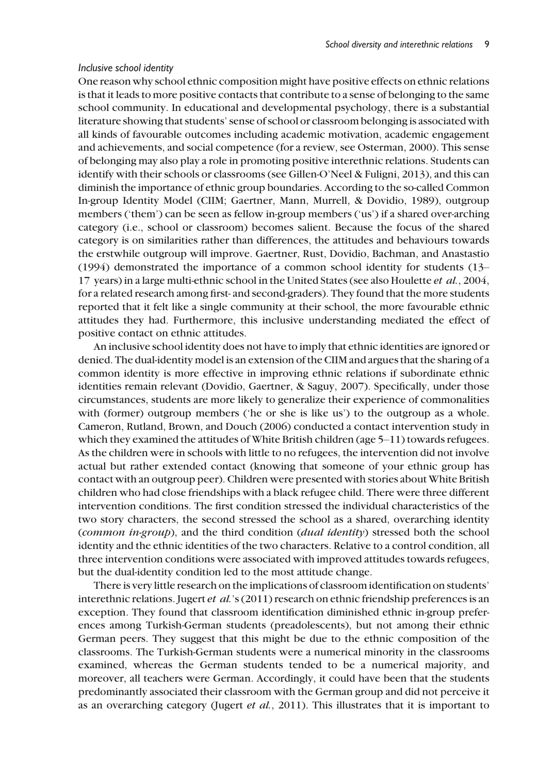#### Inclusive school identity

One reason why school ethnic composition might have positive effects on ethnic relations is that it leads to more positive contacts that contribute to a sense of belonging to the same school community. In educational and developmental psychology, there is a substantial literature showing that students' sense of school or classroom belonging is associated with all kinds of favourable outcomes including academic motivation, academic engagement and achievements, and social competence (for a review, see Osterman, 2000). This sense of belonging may also play a role in promoting positive interethnic relations. Students can identify with their schools or classrooms (see Gillen-O'Neel & Fuligni, 2013), and this can diminish the importance of ethnic group boundaries. According to the so-called Common In-group Identity Model (CIIM; Gaertner, Mann, Murrell, & Dovidio, 1989), outgroup members ('them') can be seen as fellow in-group members ('us') if a shared over-arching category (i.e., school or classroom) becomes salient. Because the focus of the shared category is on similarities rather than differences, the attitudes and behaviours towards the erstwhile outgroup will improve. Gaertner, Rust, Dovidio, Bachman, and Anastastio (1994) demonstrated the importance of a common school identity for students (13– 17 years) in a large multi-ethnic school in the United States (see also Houlette *et al.*, 2004, for a related research among first- and second-graders). They found that the more students reported that it felt like a single community at their school, the more favourable ethnic attitudes they had. Furthermore, this inclusive understanding mediated the effect of positive contact on ethnic attitudes.

An inclusive school identity does not have to imply that ethnic identities are ignored or denied. The dual-identity model is an extension of the CIIM and argues that the sharing of a common identity is more effective in improving ethnic relations if subordinate ethnic identities remain relevant (Dovidio, Gaertner, & Saguy, 2007). Specifically, under those circumstances, students are more likely to generalize their experience of commonalities with (former) outgroup members ('he or she is like us') to the outgroup as a whole. Cameron, Rutland, Brown, and Douch (2006) conducted a contact intervention study in which they examined the attitudes of White British children (age 5–11) towards refugees. As the children were in schools with little to no refugees, the intervention did not involve actual but rather extended contact (knowing that someone of your ethnic group has contact with an outgroup peer). Children were presented with stories about White British children who had close friendships with a black refugee child. There were three different intervention conditions. The first condition stressed the individual characteristics of the two story characters, the second stressed the school as a shared, overarching identity (common in-group), and the third condition (dual identity) stressed both the school identity and the ethnic identities of the two characters. Relative to a control condition, all three intervention conditions were associated with improved attitudes towards refugees, but the dual-identity condition led to the most attitude change.

There is very little research on the implications of classroom identification on students' interethnic relations. Jugert *et al.*'s (2011) research on ethnic friendship preferences is an exception. They found that classroom identification diminished ethnic in-group preferences among Turkish-German students (preadolescents), but not among their ethnic German peers. They suggest that this might be due to the ethnic composition of the classrooms. The Turkish-German students were a numerical minority in the classrooms examined, whereas the German students tended to be a numerical majority, and moreover, all teachers were German. Accordingly, it could have been that the students predominantly associated their classroom with the German group and did not perceive it as an overarching category (Jugert *et al.*, 2011). This illustrates that it is important to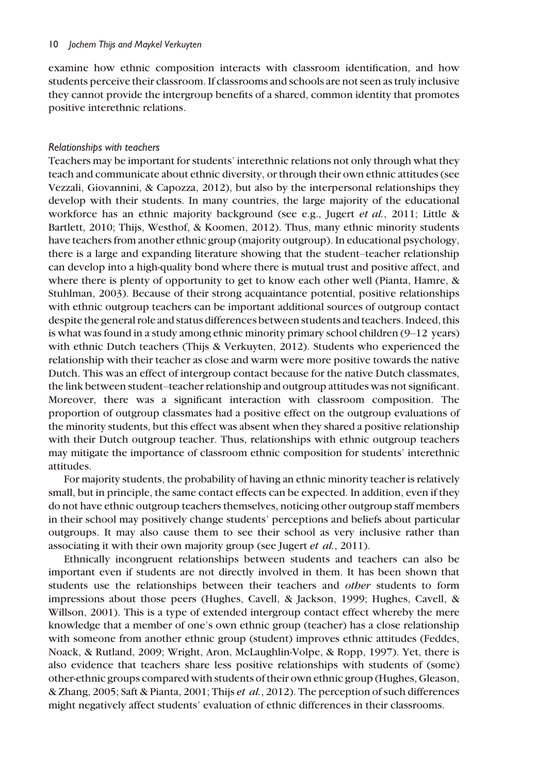examine how ethnic composition interacts with classroom identification, and how students perceive their classroom. If classrooms and schools are not seen as truly inclusive they cannot provide the intergroup benefits of a shared, common identity that promotes positive interethnic relations.

#### Relationships with teachers

Teachers may be important for students' interethnic relations not only through what they teach and communicate about ethnic diversity, or through their own ethnic attitudes (see Vezzali, Giovannini, & Capozza, 2012), but also by the interpersonal relationships they develop with their students. In many countries, the large majority of the educational workforce has an ethnic majority background (see e.g., Jugert *et al.*, 2011; Little & Bartlett, 2010; Thijs, Westhof, & Koomen, 2012). Thus, many ethnic minority students have teachers from another ethnic group (majority outgroup). In educational psychology, there is a large and expanding literature showing that the student–teacher relationship can develop into a high-quality bond where there is mutual trust and positive affect, and where there is plenty of opportunity to get to know each other well (Pianta, Hamre, & Stuhlman, 2003). Because of their strong acquaintance potential, positive relationships with ethnic outgroup teachers can be important additional sources of outgroup contact despite the general role and status differences between students and teachers. Indeed, this is what was found in a study among ethnic minority primary school children  $(9-12 \text{ years})$ with ethnic Dutch teachers (Thijs & Verkuyten, 2012). Students who experienced the relationship with their teacher as close and warm were more positive towards the native Dutch. This was an effect of intergroup contact because for the native Dutch classmates, the link between student–teacher relationship and outgroup attitudes was not significant. Moreover, there was a significant interaction with classroom composition. The proportion of outgroup classmates had a positive effect on the outgroup evaluations of the minority students, but this effect was absent when they shared a positive relationship with their Dutch outgroup teacher. Thus, relationships with ethnic outgroup teachers may mitigate the importance of classroom ethnic composition for students' interethnic attitudes.

For majority students, the probability of having an ethnic minority teacher is relatively small, but in principle, the same contact effects can be expected. In addition, even if they do not have ethnic outgroup teachers themselves, noticing other outgroup staff members in their school may positively change students' perceptions and beliefs about particular outgroups. It may also cause them to see their school as very inclusive rather than associating it with their own majority group (see Jugert et al., 2011).

Ethnically incongruent relationships between students and teachers can also be important even if students are not directly involved in them. It has been shown that students use the relationships between their teachers and other students to form impressions about those peers (Hughes, Cavell, & Jackson, 1999; Hughes, Cavell, & Willson, 2001). This is a type of extended intergroup contact effect whereby the mere knowledge that a member of one's own ethnic group (teacher) has a close relationship with someone from another ethnic group (student) improves ethnic attitudes (Feddes, Noack, & Rutland, 2009; Wright, Aron, McLaughlin-Volpe, & Ropp, 1997). Yet, there is also evidence that teachers share less positive relationships with students of (some) other-ethnic groups compared with students of their own ethnic group (Hughes, Gleason, & Zhang, 2005; Saft & Pianta, 2001; Thijs et al., 2012). The perception of such differences might negatively affect students' evaluation of ethnic differences in their classrooms.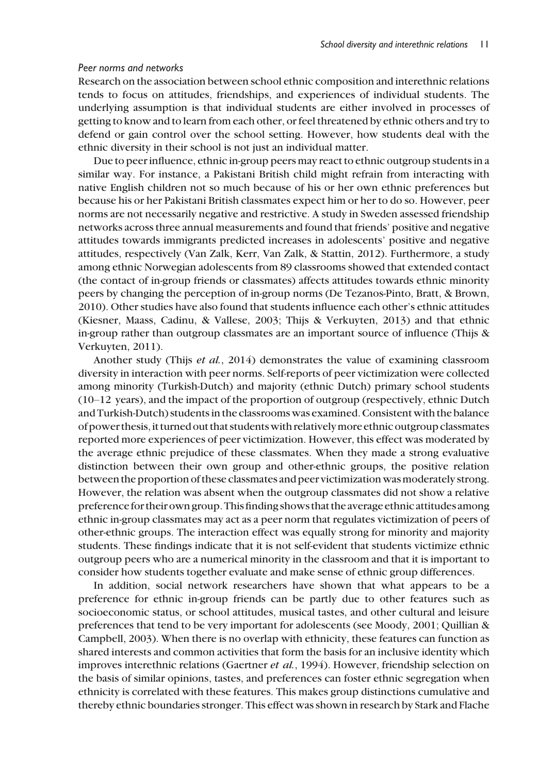#### Peer norms and networks

Research on the association between school ethnic composition and interethnic relations tends to focus on attitudes, friendships, and experiences of individual students. The underlying assumption is that individual students are either involved in processes of getting to know and to learn from each other, or feel threatened by ethnic others and try to defend or gain control over the school setting. However, how students deal with the ethnic diversity in their school is not just an individual matter.

Due to peer influence, ethnic in-group peers may react to ethnic outgroup students in a similar way. For instance, a Pakistani British child might refrain from interacting with native English children not so much because of his or her own ethnic preferences but because his or her Pakistani British classmates expect him or her to do so. However, peer norms are not necessarily negative and restrictive. A study in Sweden assessed friendship networks across three annual measurements and found that friends' positive and negative attitudes towards immigrants predicted increases in adolescents' positive and negative attitudes, respectively (Van Zalk, Kerr, Van Zalk, & Stattin, 2012). Furthermore, a study among ethnic Norwegian adolescents from 89 classrooms showed that extended contact (the contact of in-group friends or classmates) affects attitudes towards ethnic minority peers by changing the perception of in-group norms (De Tezanos-Pinto, Bratt, & Brown, 2010). Other studies have also found that students influence each other's ethnic attitudes (Kiesner, Maass, Cadinu, & Vallese, 2003; Thijs & Verkuyten, 2013) and that ethnic in-group rather than outgroup classmates are an important source of influence (Thijs & Verkuyten, 2011).

Another study (Thijs et al., 2014) demonstrates the value of examining classroom diversity in interaction with peer norms. Self-reports of peer victimization were collected among minority (Turkish-Dutch) and majority (ethnic Dutch) primary school students (10–12 years), and the impact of the proportion of outgroup (respectively, ethnic Dutch and Turkish-Dutch) students in the classrooms was examined. Consistent with the balance of power thesis,it turned out that studentswith relativelymore ethnic outgroup classmates reported more experiences of peer victimization. However, this effect was moderated by the average ethnic prejudice of these classmates. When they made a strong evaluative distinction between their own group and other-ethnic groups, the positive relation between the proportion of these classmates and peer victimization was moderately strong. However, the relation was absent when the outgroup classmates did not show a relative preference for their own group. This finding shows that the average ethnic attitudes among ethnic in-group classmates may act as a peer norm that regulates victimization of peers of other-ethnic groups. The interaction effect was equally strong for minority and majority students. These findings indicate that it is not self-evident that students victimize ethnic outgroup peers who are a numerical minority in the classroom and that it is important to consider how students together evaluate and make sense of ethnic group differences.

In addition, social network researchers have shown that what appears to be a preference for ethnic in-group friends can be partly due to other features such as socioeconomic status, or school attitudes, musical tastes, and other cultural and leisure preferences that tend to be very important for adolescents (see Moody, 2001; Quillian & Campbell, 2003). When there is no overlap with ethnicity, these features can function as shared interests and common activities that form the basis for an inclusive identity which improves interethnic relations (Gaertner et al., 1994). However, friendship selection on the basis of similar opinions, tastes, and preferences can foster ethnic segregation when ethnicity is correlated with these features. This makes group distinctions cumulative and thereby ethnic boundaries stronger. This effect was shown in research by Stark and Flache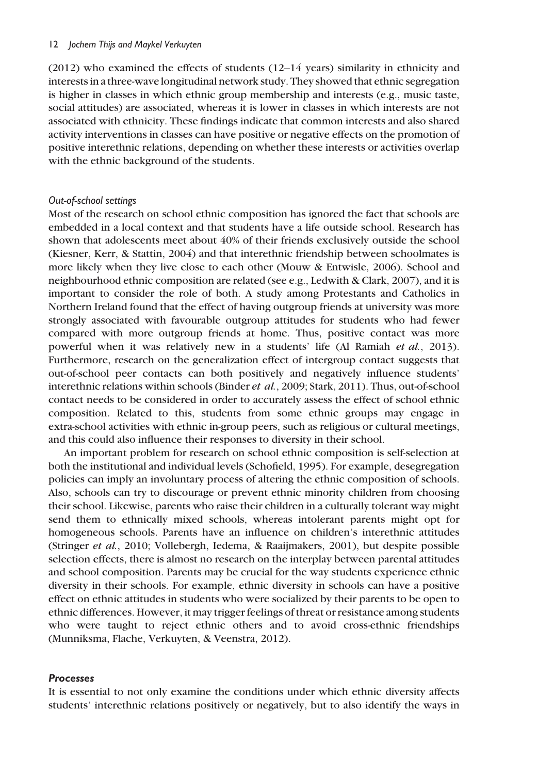(2012) who examined the effects of students (12–14 years) similarity in ethnicity and interests in a three-wave longitudinal network study. They showed that ethnic segregation is higher in classes in which ethnic group membership and interests (e.g., music taste, social attitudes) are associated, whereas it is lower in classes in which interests are not associated with ethnicity. These findings indicate that common interests and also shared activity interventions in classes can have positive or negative effects on the promotion of positive interethnic relations, depending on whether these interests or activities overlap with the ethnic background of the students.

#### Out-of-school settings

Most of the research on school ethnic composition has ignored the fact that schools are embedded in a local context and that students have a life outside school. Research has shown that adolescents meet about 40% of their friends exclusively outside the school (Kiesner, Kerr, & Stattin, 2004) and that interethnic friendship between schoolmates is more likely when they live close to each other (Mouw & Entwisle, 2006). School and neighbourhood ethnic composition are related (see e.g., Ledwith & Clark, 2007), and it is important to consider the role of both. A study among Protestants and Catholics in Northern Ireland found that the effect of having outgroup friends at university was more strongly associated with favourable outgroup attitudes for students who had fewer compared with more outgroup friends at home. Thus, positive contact was more powerful when it was relatively new in a students' life (Al Ramiah et al., 2013). Furthermore, research on the generalization effect of intergroup contact suggests that out-of-school peer contacts can both positively and negatively influence students' interethnic relations within schools (Binder et al., 2009; Stark, 2011). Thus, out-of-school contact needs to be considered in order to accurately assess the effect of school ethnic composition. Related to this, students from some ethnic groups may engage in extra-school activities with ethnic in-group peers, such as religious or cultural meetings, and this could also influence their responses to diversity in their school.

An important problem for research on school ethnic composition is self-selection at both the institutional and individual levels (Schofield, 1995). For example, desegregation policies can imply an involuntary process of altering the ethnic composition of schools. Also, schools can try to discourage or prevent ethnic minority children from choosing their school. Likewise, parents who raise their children in a culturally tolerant way might send them to ethnically mixed schools, whereas intolerant parents might opt for homogeneous schools. Parents have an influence on children's interethnic attitudes (Stringer et al., 2010; Vollebergh, Iedema, & Raaijmakers, 2001), but despite possible selection effects, there is almost no research on the interplay between parental attitudes and school composition. Parents may be crucial for the way students experience ethnic diversity in their schools. For example, ethnic diversity in schools can have a positive effect on ethnic attitudes in students who were socialized by their parents to be open to ethnic differences. However, it may trigger feelings of threat or resistance among students who were taught to reject ethnic others and to avoid cross-ethnic friendships (Munniksma, Flache, Verkuyten, & Veenstra, 2012).

#### Processes

It is essential to not only examine the conditions under which ethnic diversity affects students' interethnic relations positively or negatively, but to also identify the ways in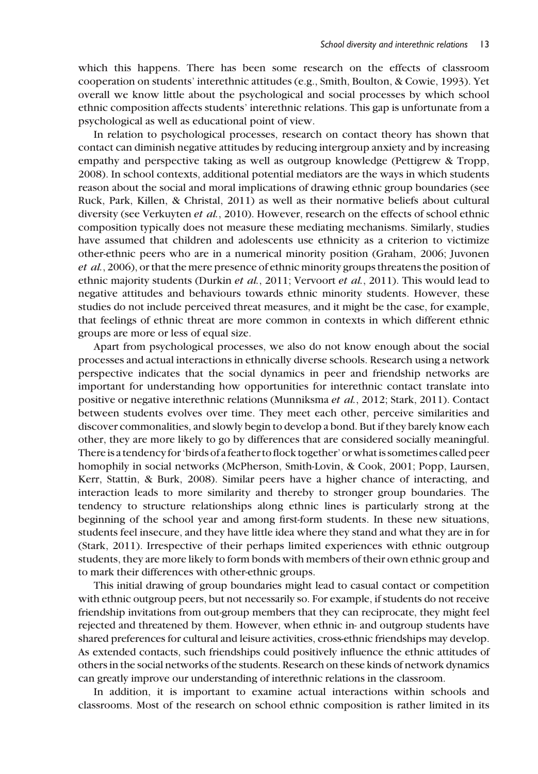which this happens. There has been some research on the effects of classroom cooperation on students' interethnic attitudes (e.g., Smith, Boulton, & Cowie, 1993). Yet overall we know little about the psychological and social processes by which school ethnic composition affects students' interethnic relations. This gap is unfortunate from a psychological as well as educational point of view.

In relation to psychological processes, research on contact theory has shown that contact can diminish negative attitudes by reducing intergroup anxiety and by increasing empathy and perspective taking as well as outgroup knowledge (Pettigrew & Tropp, 2008). In school contexts, additional potential mediators are the ways in which students reason about the social and moral implications of drawing ethnic group boundaries (see Ruck, Park, Killen, & Christal, 2011) as well as their normative beliefs about cultural diversity (see Verkuyten et al., 2010). However, research on the effects of school ethnic composition typically does not measure these mediating mechanisms. Similarly, studies have assumed that children and adolescents use ethnicity as a criterion to victimize other-ethnic peers who are in a numerical minority position (Graham, 2006; Juvonen et al., 2006), or that the mere presence of ethnic minority groups threatens the position of ethnic majority students (Durkin *et al.*, 2011; Vervoort *et al.*, 2011). This would lead to negative attitudes and behaviours towards ethnic minority students. However, these studies do not include perceived threat measures, and it might be the case, for example, that feelings of ethnic threat are more common in contexts in which different ethnic groups are more or less of equal size.

Apart from psychological processes, we also do not know enough about the social processes and actual interactions in ethnically diverse schools. Research using a network perspective indicates that the social dynamics in peer and friendship networks are important for understanding how opportunities for interethnic contact translate into positive or negative interethnic relations (Munniksma et al., 2012; Stark, 2011). Contact between students evolves over time. They meet each other, perceive similarities and discover commonalities, and slowly begin to develop a bond. But if they barely know each other, they are more likely to go by differences that are considered socially meaningful. There is a tendency for 'birds of a feather to flock together' or what is sometimes called peer homophily in social networks (McPherson, Smith-Lovin, & Cook, 2001; Popp, Laursen, Kerr, Stattin, & Burk, 2008). Similar peers have a higher chance of interacting, and interaction leads to more similarity and thereby to stronger group boundaries. The tendency to structure relationships along ethnic lines is particularly strong at the beginning of the school year and among first-form students. In these new situations, students feel insecure, and they have little idea where they stand and what they are in for (Stark, 2011). Irrespective of their perhaps limited experiences with ethnic outgroup students, they are more likely to form bonds with members of their own ethnic group and to mark their differences with other-ethnic groups.

This initial drawing of group boundaries might lead to casual contact or competition with ethnic outgroup peers, but not necessarily so. For example, if students do not receive friendship invitations from out-group members that they can reciprocate, they might feel rejected and threatened by them. However, when ethnic in- and outgroup students have shared preferences for cultural and leisure activities, cross-ethnic friendships may develop. As extended contacts, such friendships could positively influence the ethnic attitudes of others in the social networks of the students. Research on these kinds of network dynamics can greatly improve our understanding of interethnic relations in the classroom.

In addition, it is important to examine actual interactions within schools and classrooms. Most of the research on school ethnic composition is rather limited in its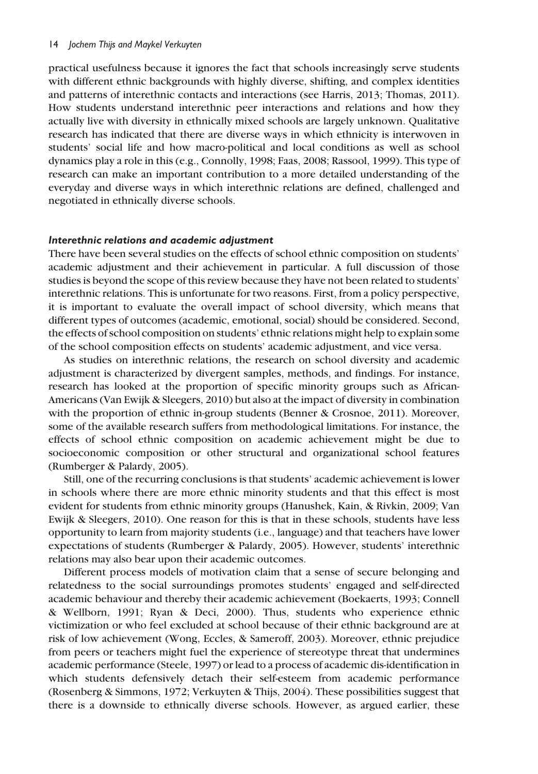practical usefulness because it ignores the fact that schools increasingly serve students with different ethnic backgrounds with highly diverse, shifting, and complex identities and patterns of interethnic contacts and interactions (see Harris, 2013; Thomas, 2011). How students understand interethnic peer interactions and relations and how they actually live with diversity in ethnically mixed schools are largely unknown. Qualitative research has indicated that there are diverse ways in which ethnicity is interwoven in students' social life and how macro-political and local conditions as well as school dynamics play a role in this (e.g., Connolly, 1998; Faas, 2008; Rassool, 1999). This type of research can make an important contribution to a more detailed understanding of the everyday and diverse ways in which interethnic relations are defined, challenged and negotiated in ethnically diverse schools.

#### Interethnic relations and academic adjustment

There have been several studies on the effects of school ethnic composition on students' academic adjustment and their achievement in particular. A full discussion of those studies is beyond the scope of this review because they have not been related to students' interethnic relations. This is unfortunate for two reasons. First, from a policy perspective, it is important to evaluate the overall impact of school diversity, which means that different types of outcomes (academic, emotional, social) should be considered. Second, the effects of school composition on students' ethnic relations might help to explain some of the school composition effects on students' academic adjustment, and vice versa.

As studies on interethnic relations, the research on school diversity and academic adjustment is characterized by divergent samples, methods, and findings. For instance, research has looked at the proportion of specific minority groups such as African-Americans (Van Ewijk & Sleegers, 2010) but also at the impact of diversity in combination with the proportion of ethnic in-group students (Benner & Crosnoe, 2011). Moreover, some of the available research suffers from methodological limitations. For instance, the effects of school ethnic composition on academic achievement might be due to socioeconomic composition or other structural and organizational school features (Rumberger & Palardy, 2005).

Still, one of the recurring conclusions is that students' academic achievement is lower in schools where there are more ethnic minority students and that this effect is most evident for students from ethnic minority groups (Hanushek, Kain, & Rivkin, 2009; Van Ewijk & Sleegers, 2010). One reason for this is that in these schools, students have less opportunity to learn from majority students (i.e., language) and that teachers have lower expectations of students (Rumberger & Palardy, 2005). However, students' interethnic relations may also bear upon their academic outcomes.

Different process models of motivation claim that a sense of secure belonging and relatedness to the social surroundings promotes students' engaged and self-directed academic behaviour and thereby their academic achievement (Boekaerts, 1993; Connell & Wellborn, 1991; Ryan & Deci, 2000). Thus, students who experience ethnic victimization or who feel excluded at school because of their ethnic background are at risk of low achievement (Wong, Eccles, & Sameroff, 2003). Moreover, ethnic prejudice from peers or teachers might fuel the experience of stereotype threat that undermines academic performance (Steele, 1997) or lead to a process of academic dis-identification in which students defensively detach their self-esteem from academic performance (Rosenberg & Simmons, 1972; Verkuyten & Thijs, 2004). These possibilities suggest that there is a downside to ethnically diverse schools. However, as argued earlier, these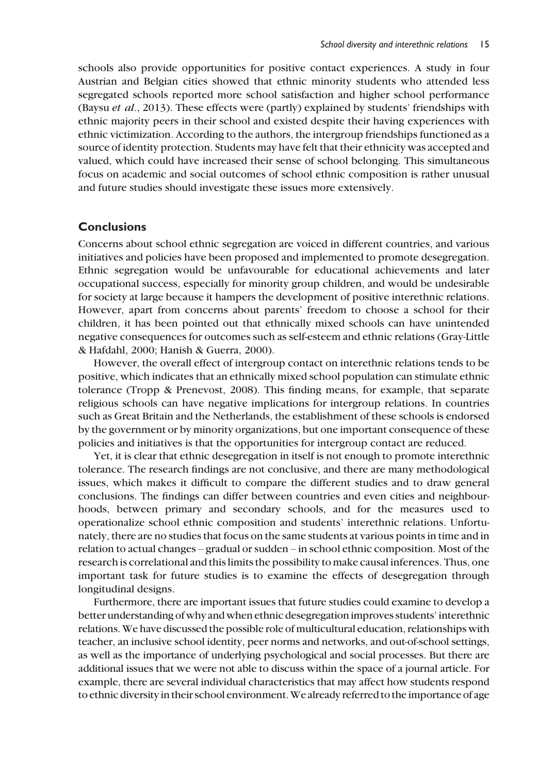schools also provide opportunities for positive contact experiences. A study in four Austrian and Belgian cities showed that ethnic minority students who attended less segregated schools reported more school satisfaction and higher school performance (Baysu et al., 2013). These effects were (partly) explained by students' friendships with ethnic majority peers in their school and existed despite their having experiences with ethnic victimization. According to the authors, the intergroup friendships functioned as a source of identity protection. Students may have felt that their ethnicity was accepted and valued, which could have increased their sense of school belonging. This simultaneous focus on academic and social outcomes of school ethnic composition is rather unusual and future studies should investigate these issues more extensively.

# Conclusions

Concerns about school ethnic segregation are voiced in different countries, and various initiatives and policies have been proposed and implemented to promote desegregation. Ethnic segregation would be unfavourable for educational achievements and later occupational success, especially for minority group children, and would be undesirable for society at large because it hampers the development of positive interethnic relations. However, apart from concerns about parents' freedom to choose a school for their children, it has been pointed out that ethnically mixed schools can have unintended negative consequences for outcomes such as self-esteem and ethnic relations (Gray-Little & Hafdahl, 2000; Hanish & Guerra, 2000).

However, the overall effect of intergroup contact on interethnic relations tends to be positive, which indicates that an ethnically mixed school population can stimulate ethnic tolerance (Tropp & Prenevost, 2008). This finding means, for example, that separate religious schools can have negative implications for intergroup relations. In countries such as Great Britain and the Netherlands, the establishment of these schools is endorsed by the government or by minority organizations, but one important consequence of these policies and initiatives is that the opportunities for intergroup contact are reduced.

Yet, it is clear that ethnic desegregation in itself is not enough to promote interethnic tolerance. The research findings are not conclusive, and there are many methodological issues, which makes it difficult to compare the different studies and to draw general conclusions. The findings can differ between countries and even cities and neighbourhoods, between primary and secondary schools, and for the measures used to operationalize school ethnic composition and students' interethnic relations. Unfortunately, there are no studies that focus on the same students at various points in time and in relation to actual changes – gradual or sudden – in school ethnic composition. Most of the research is correlational and this limits the possibility to make causal inferences. Thus, one important task for future studies is to examine the effects of desegregation through longitudinal designs.

Furthermore, there are important issues that future studies could examine to develop a better understanding of why and when ethnic desegregation improves students' interethnic relations. We have discussed the possible role of multicultural education, relationships with teacher, an inclusive school identity, peer norms and networks, and out-of-school settings, as well as the importance of underlying psychological and social processes. But there are additional issues that we were not able to discuss within the space of a journal article. For example, there are several individual characteristics that may affect how students respond to ethnic diversity in their school environment.We already referred to the importance of age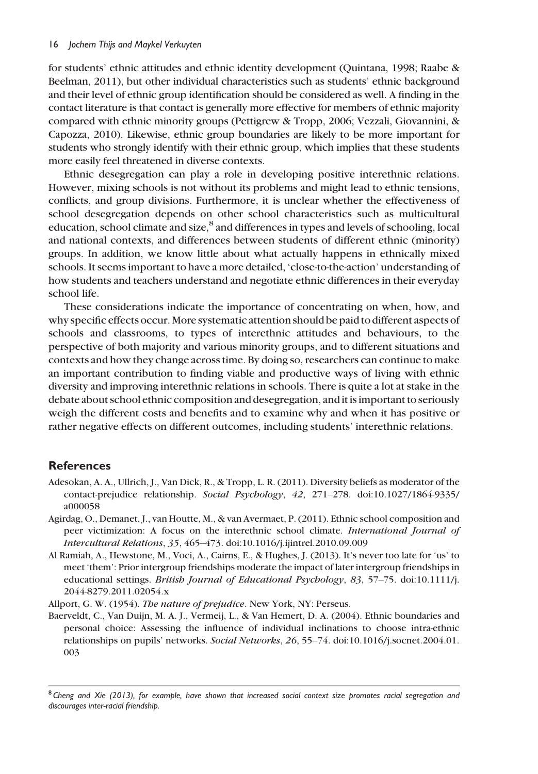for students' ethnic attitudes and ethnic identity development (Quintana, 1998; Raabe & Beelman, 2011), but other individual characteristics such as students' ethnic background and their level of ethnic group identification should be considered as well. A finding in the contact literature is that contact is generally more effective for members of ethnic majority compared with ethnic minority groups (Pettigrew & Tropp, 2006; Vezzali, Giovannini, & Capozza, 2010). Likewise, ethnic group boundaries are likely to be more important for students who strongly identify with their ethnic group, which implies that these students more easily feel threatened in diverse contexts.

Ethnic desegregation can play a role in developing positive interethnic relations. However, mixing schools is not without its problems and might lead to ethnic tensions, conflicts, and group divisions. Furthermore, it is unclear whether the effectiveness of school desegregation depends on other school characteristics such as multicultural education, school climate and size,<sup>8</sup> and differences in types and levels of schooling, local and national contexts, and differences between students of different ethnic (minority) groups. In addition, we know little about what actually happens in ethnically mixed schools. It seems important to have a more detailed, 'close-to-the-action' understanding of how students and teachers understand and negotiate ethnic differences in their everyday school life.

These considerations indicate the importance of concentrating on when, how, and why specific effects occur. More systematic attention should be paid to different aspects of schools and classrooms, to types of interethnic attitudes and behaviours, to the perspective of both majority and various minority groups, and to different situations and contexts and how they change across time. By doing so, researchers can continue to make an important contribution to finding viable and productive ways of living with ethnic diversity and improving interethnic relations in schools. There is quite a lot at stake in the debate about school ethnic composition and desegregation, and it is important to seriously weigh the different costs and benefits and to examine why and when it has positive or rather negative effects on different outcomes, including students' interethnic relations.

# **References**

- Adesokan, A. A., Ullrich, J., Van Dick, R., & Tropp, L. R. (2011). Diversity beliefs as moderator of the contact-prejudice relationship. Social Psychology, 42, 271–278. doi:10.1027/1864-9335/ a000058
- Agirdag, O., Demanet, J., van Houtte, M., & van Avermaet, P. (2011). Ethnic school composition and peer victimization: A focus on the interethnic school climate. International Journal of Intercultural Relations, 35, 465–473. doi:10.1016/j.ijintrel.2010.09.009
- Al Ramiah, A., Hewstone, M., Voci, A., Cairns, E., & Hughes, J. (2013). It's never too late for 'us' to meet 'them': Prior intergroup friendships moderate the impact of later intergroup friendships in educational settings. British Journal of Educational Psychology, 83, 57–75. doi:10.1111/j. 2044-8279.2011.02054.x

Allport, G. W. (1954). The nature of prejudice. New York, NY: Perseus.

Baerveldt, C., Van Duijn, M. A. J., Vermeij, L., & Van Hemert, D. A. (2004). Ethnic boundaries and personal choice: Assessing the influence of individual inclinations to choose intra-ethnic relationships on pupils' networks. Social Networks, 26, 55–74. doi:10.1016/j.socnet.2004.01. 003

 $8$  Cheng and Xie (2013), for example, have shown that increased social context size promotes racial segregation and discourages inter-racial friendship.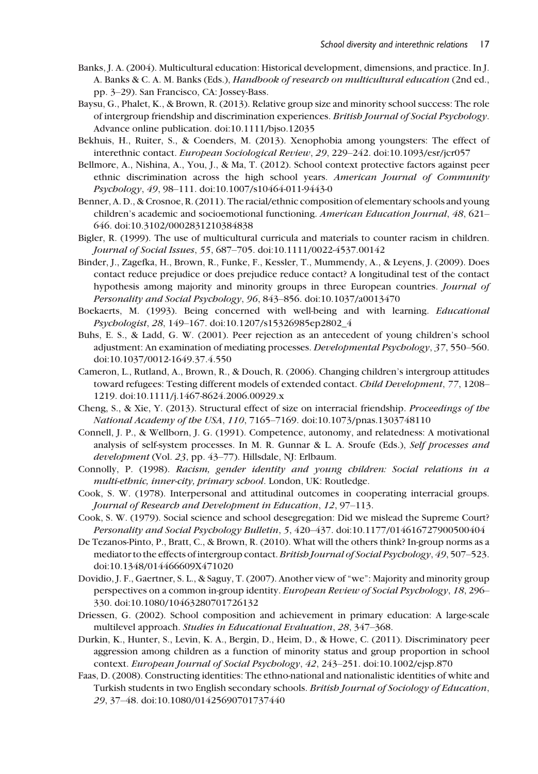- Banks, J. A. (2004). Multicultural education: Historical development, dimensions, and practice. In J. A. Banks & C. A. M. Banks (Eds.), Handbook of research on multicultural education (2nd ed., pp. 3–29). San Francisco, CA: Jossey-Bass.
- Baysu, G., Phalet, K., & Brown, R. (2013). Relative group size and minority school success: The role of intergroup friendship and discrimination experiences. British Journal of Social Psychology. Advance online publication. doi:10.1111/bjso.12035
- Bekhuis, H., Ruiter, S., & Coenders, M. (2013). Xenophobia among youngsters: The effect of interethnic contact. European Sociological Review, 29, 229–242. doi:10.1093/esr/jcr057
- Bellmore, A., Nishina, A., You, J., & Ma, T. (2012). School context protective factors against peer ethnic discrimination across the high school years. American Journal of Community Psychology, 49, 98–111. doi:10.1007/s10464-011-9443-0
- Benner, A. D., & Crosnoe, R. (2011). The racial/ethnic composition of elementary schools and young children's academic and socioemotional functioning. American Education Journal, 48, 621– 646. doi:10.3102/0002831210384838
- Bigler, R. (1999). The use of multicultural curricula and materials to counter racism in children. Journal of Social Issues, 55, 687–705. doi:10.1111/0022-4537.00142
- Binder, J., Zagefka, H., Brown, R., Funke, F., Kessler, T., Mummendy, A., & Leyens, J. (2009). Does contact reduce prejudice or does prejudice reduce contact? A longitudinal test of the contact hypothesis among majority and minority groups in three European countries. Journal of Personality and Social Psychology, 96, 843–856. doi:10.1037/a0013470
- Boekaerts, M. (1993). Being concerned with well-being and with learning. Educational Psychologist, 28, 149–167. doi:10.1207/s15326985ep2802\_4
- Buhs, E. S., & Ladd, G. W. (2001). Peer rejection as an antecedent of young children's school adjustment: An examination of mediating processes. Developmental Psychology, 37, 550–560. doi:10.1037/0012-1649.37.4.550
- Cameron, L., Rutland, A., Brown, R., & Douch, R. (2006). Changing children's intergroup attitudes toward refugees: Testing different models of extended contact. Child Development, 77, 1208-1219. doi:10.1111/j.1467-8624.2006.00929.x
- Cheng, S., & Xie, Y. (2013). Structural effect of size on interracial friendship. Proceedings of the National Academy of the USA, 110, 7165–7169. doi:10.1073/pnas.1303748110
- Connell, J. P., & Wellborn, J. G. (1991). Competence, autonomy, and relatedness: A motivational analysis of self-system processes. In M. R. Gunnar & L. A. Sroufe (Eds.), Self processes and development (Vol. 23, pp. 43–77). Hillsdale, NJ: Erlbaum.
- Connolly, P. (1998). Racism, gender identity and young children: Social relations in a multi-ethnic, inner-city, primary school. London, UK: Routledge.
- Cook, S. W. (1978). Interpersonal and attitudinal outcomes in cooperating interracial groups. Journal of Research and Development in Education, 12, 97–113.
- Cook, S. W. (1979). Social science and school desegregation: Did we mislead the Supreme Court? Personality and Social Psychology Bulletin, 5, 420–437. doi:10.1177/014616727900500404
- De Tezanos-Pinto, P., Bratt, C., & Brown, R. (2010). What will the others think? In-group norms as a mediator to the effects of intergroup contact.British Journal of Social Psychology, 49, 507–523. doi:10.1348/014466609X471020
- Dovidio, J. F., Gaertner, S. L., & Saguy, T. (2007). Another view of "we": Majority and minority group perspectives on a common in-group identity. European Review of Social Psychology, 18, 296– 330. doi:10.1080/10463280701726132
- Driessen, G. (2002). School composition and achievement in primary education: A large-scale multilevel approach. Studies in Educational Evaluation, 28, 347–368.
- Durkin, K., Hunter, S., Levin, K. A., Bergin, D., Heim, D., & Howe, C. (2011). Discriminatory peer aggression among children as a function of minority status and group proportion in school context. European Journal of Social Psychology, 42, 243–251. doi:10.1002/ejsp.870
- Faas, D. (2008). Constructing identities: The ethno-national and nationalistic identities of white and Turkish students in two English secondary schools. British Journal of Sociology of Education, 29, 37–48. doi:10.1080/01425690701737440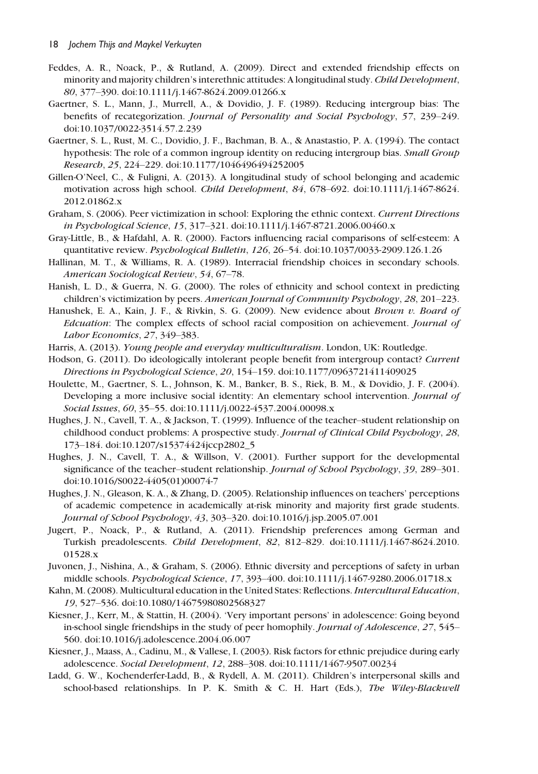- Feddes, A. R., Noack, P., & Rutland, A. (2009). Direct and extended friendship effects on minority and majority children's interethnic attitudes: A longitudinal study. Child Development, 80, 377–390. doi:10.1111/j.1467-8624.2009.01266.x
- Gaertner, S. L., Mann, J., Murrell, A., & Dovidio, J. F. (1989). Reducing intergroup bias: The benefits of recategorization. Journal of Personality and Social Psychology, 57, 239–249. doi:10.1037/0022-3514.57.2.239
- Gaertner, S. L., Rust, M. C., Dovidio, J. F., Bachman, B. A., & Anastastio, P. A. (1994). The contact hypothesis: The role of a common ingroup identity on reducing intergroup bias. Small Group Research, 25, 224–229. doi:10.1177/1046496494252005
- Gillen-O'Neel, C., & Fuligni, A. (2013). A longitudinal study of school belonging and academic motivation across high school. Child Development, 84, 678–692. doi:10.1111/j.1467-8624. 2012.01862.x
- Graham, S. (2006). Peer victimization in school: Exploring the ethnic context. Current Directions in Psychological Science, 15, 317–321. doi:10.1111/j.1467-8721.2006.00460.x
- Gray-Little, B., & Hafdahl, A. R. (2000). Factors influencing racial comparisons of self-esteem: A quantitative review. Psychological Bulletin, 126, 26–54. doi:10.1037/0033-2909.126.1.26
- Hallinan, M. T., & Williams, R. A. (1989). Interracial friendship choices in secondary schools. American Sociological Review, 54, 67–78.
- Hanish, L. D., & Guerra, N. G. (2000). The roles of ethnicity and school context in predicting children's victimization by peers. American Journal of Community Psychology, 28, 201–223.
- Hanushek, E. A., Kain, J. F., & Rivkin, S. G. (2009). New evidence about Brown v. Board of Edcuation: The complex effects of school racial composition on achievement. Journal of Labor Economics, 27, 349–383.
- Harris, A. (2013). Young people and everyday multiculturalism. London, UK: Routledge.
- Hodson, G. (2011). Do ideologically intolerant people benefit from intergroup contact? Current Directions in Psychological Science, 20, 154–159. doi:10.1177/0963721411409025
- Houlette, M., Gaertner, S. L., Johnson, K. M., Banker, B. S., Riek, B. M., & Dovidio, J. F. (2004). Developing a more inclusive social identity: An elementary school intervention. Journal of Social Issues, 60, 35–55. doi:10.1111/j.0022-4537.2004.00098.x
- Hughes, J. N., Cavell, T. A., & Jackson, T. (1999). Influence of the teacher–student relationship on childhood conduct problems: A prospective study. Journal of Clinical Child Psychology, 28, 173–184. doi:10.1207/s15374424jccp2802\_5
- Hughes, J. N., Cavell, T. A., & Willson, V. (2001). Further support for the developmental significance of the teacher–student relationship. *Journal of School Psychology*, 39, 289–301. doi:10.1016/S0022-4405(01)00074-7
- Hughes, J. N., Gleason, K. A., & Zhang, D. (2005). Relationship influences on teachers' perceptions of academic competence in academically at-risk minority and majority first grade students. Journal of School Psychology, 43, 303–320. doi:10.1016/j.jsp.2005.07.001
- Jugert, P., Noack, P., & Rutland, A. (2011). Friendship preferences among German and Turkish preadolescents. Child Development, 82, 812–829. doi:10.1111/j.1467-8624.2010. 01528.x
- Juvonen, J., Nishina, A., & Graham, S. (2006). Ethnic diversity and perceptions of safety in urban middle schools. Psychological Science, 17, 393–400. doi:10.1111/j.1467-9280.2006.01718.x
- Kahn, M. (2008). Multicultural education in the United States: Reflections. Intercultural Education, 19, 527–536. doi:10.1080/14675980802568327
- Kiesner, J., Kerr, M., & Stattin, H. (2004). 'Very important persons' in adolescence: Going beyond in-school single friendships in the study of peer homophily. Journal of Adolescence, 27, 545– 560. doi:10.1016/j.adolescence.2004.06.007
- Kiesner, J., Maass, A., Cadinu, M., & Vallese, I. (2003). Risk factors for ethnic prejudice during early adolescence. Social Development, 12, 288–308. doi:10.1111/1467-9507.00234
- Ladd, G. W., Kochenderfer-Ladd, B., & Rydell, A. M. (2011). Children's interpersonal skills and school-based relationships. In P. K. Smith & C. H. Hart (Eds.), The Wiley-Blackwell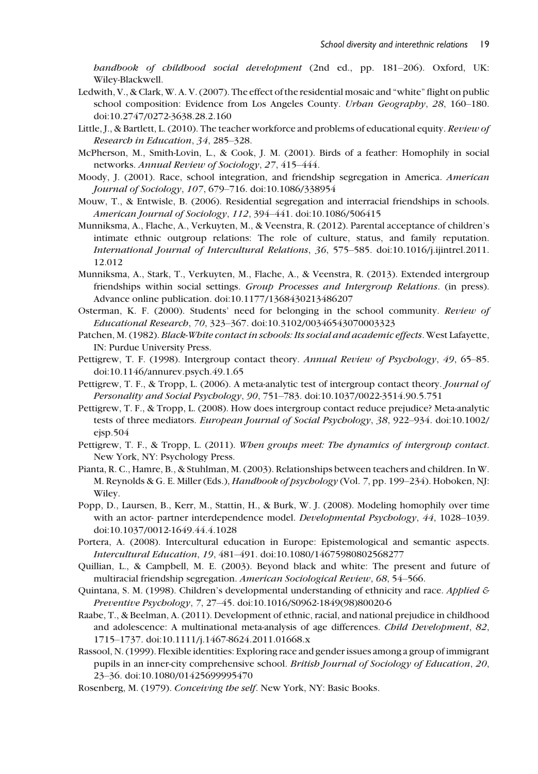handbook of childhood social development (2nd ed., pp. 181–206). Oxford, UK: Wiley-Blackwell.

- Ledwith, V., & Clark, W. A. V. (2007). The effect of the residential mosaic and "white" flight on public school composition: Evidence from Los Angeles County. *Urban Geography*, 28, 160–180. doi:10.2747/0272-3638.28.2.160
- Little, J., & Bartlett, L. (2010). The teacher workforce and problems of educational equity. Review of Research in Education, 34, 285–328.
- McPherson, M., Smith-Lovin, L., & Cook, J. M. (2001). Birds of a feather: Homophily in social networks. Annual Review of Sociology, 27, 415–444.
- Moody, J. (2001). Race, school integration, and friendship segregation in America. American Journal of Sociology, 107, 679–716. doi:10.1086/338954
- Mouw, T., & Entwisle, B. (2006). Residential segregation and interracial friendships in schools. American Journal of Sociology, 112, 394–441. doi:10.1086/506415
- Munniksma, A., Flache, A., Verkuyten, M., & Veenstra, R. (2012). Parental acceptance of children's intimate ethnic outgroup relations: The role of culture, status, and family reputation. International Journal of Intercultural Relations, 36, 575–585. doi:10.1016/j.ijintrel.2011. 12.012
- Munniksma, A., Stark, T., Verkuyten, M., Flache, A., & Veenstra, R. (2013). Extended intergroup friendships within social settings. Group Processes and Intergroup Relations. (in press). Advance online publication. doi:10.1177/1368430213486207
- Osterman, K. F. (2000). Students' need for belonging in the school community. Review of Educational Research, 70, 323–367. doi:10.3102/00346543070003323
- Patchen, M. (1982). Black-White contact in schools: Its social and academic effects. West Lafayette, IN: Purdue University Press.
- Pettigrew, T. F. (1998). Intergroup contact theory. Annual Review of Psychology, 49, 65–85. doi:10.1146/annurev.psych.49.1.65
- Pettigrew, T. F., & Tropp, L. (2006). A meta-analytic test of intergroup contact theory. Journal of Personality and Social Psychology, 90, 751–783. doi:10.1037/0022-3514.90.5.751
- Pettigrew, T. F., & Tropp, L. (2008). How does intergroup contact reduce prejudice? Meta-analytic tests of three mediators. European Journal of Social Psychology, 38, 922–934. doi:10.1002/ ejsp.504
- Pettigrew, T. F., & Tropp, L. (2011). When groups meet: The dynamics of intergroup contact. New York, NY: Psychology Press.
- Pianta, R. C., Hamre, B., & Stuhlman, M. (2003). Relationships between teachers and children. In W. M. Reynolds & G. E. Miller (Eds.), Handbook of psychology (Vol. 7, pp. 199–234). Hoboken, NJ: Wiley.
- Popp, D., Laursen, B., Kerr, M., Stattin, H., & Burk, W. J. (2008). Modeling homophily over time with an actor- partner interdependence model. Developmental Psychology, 44, 1028–1039. doi:10.1037/0012-1649.44.4.1028
- Portera, A. (2008). Intercultural education in Europe: Epistemological and semantic aspects. Intercultural Education, 19, 481–491. doi:10.1080/14675980802568277
- Quillian, L., & Campbell, M. E. (2003). Beyond black and white: The present and future of multiracial friendship segregation. American Sociological Review, 68, 54–566.
- Quintana, S. M. (1998). Children's developmental understanding of ethnicity and race. Applied  $\mathcal E$ Preventive Psychology, 7, 27–45. doi:10.1016/S0962-1849(98)80020-6
- Raabe, T., & Beelman, A. (2011). Development of ethnic, racial, and national prejudice in childhood and adolescence: A multinational meta-analysis of age differences. Child Development, 82, 1715–1737. doi:10.1111/j.1467-8624.2011.01668.x
- Rassool, N. (1999). Flexible identities: Exploring race and gender issues among a group of immigrant pupils in an inner-city comprehensive school. British Journal of Sociology of Education, 20, 23–36. doi:10.1080/01425699995470
- Rosenberg, M. (1979). Conceiving the self. New York, NY: Basic Books.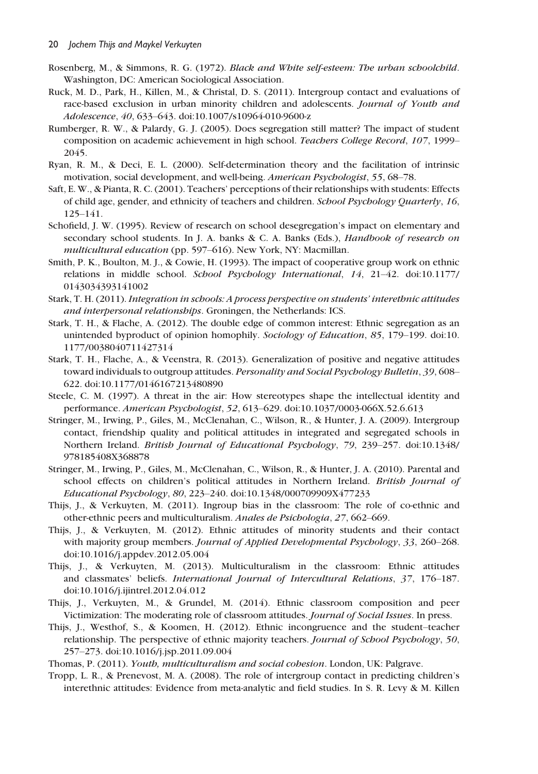- Rosenberg, M., & Simmons, R. G. (1972). Black and White self-esteem: The urban schoolchild. Washington, DC: American Sociological Association.
- Ruck, M. D., Park, H., Killen, M., & Christal, D. S. (2011). Intergroup contact and evaluations of race-based exclusion in urban minority children and adolescents. Journal of Youth and Adolescence, 40, 633–643. doi:10.1007/s10964-010-9600-z
- Rumberger, R. W., & Palardy, G. J. (2005). Does segregation still matter? The impact of student composition on academic achievement in high school. Teachers College Record, 107, 1999– 2045.
- Ryan, R. M., & Deci, E. L. (2000). Self-determination theory and the facilitation of intrinsic motivation, social development, and well-being. American Psychologist, 55, 68–78.
- Saft, E. W., & Pianta, R. C. (2001). Teachers' perceptions of their relationships with students: Effects of child age, gender, and ethnicity of teachers and children. School Psychology Quarterly, 16, 125–141.
- Schofield, J. W. (1995). Review of research on school desegregation's impact on elementary and secondary school students. In J. A. banks & C. A. Banks (Eds.), Handbook of research on multicultural education (pp. 597–616). New York, NY: Macmillan.
- Smith, P. K., Boulton, M. J., & Cowie, H. (1993). The impact of cooperative group work on ethnic relations in middle school. School Psychology International, 14, 21–42. doi:10.1177/ 0143034393141002
- Stark, T. H. (2011). Integration in schools: A process perspective on students' interethnic attitudes and interpersonal relationships. Groningen, the Netherlands: ICS.
- Stark, T. H., & Flache, A. (2012). The double edge of common interest: Ethnic segregation as an unintended byproduct of opinion homophily. Sociology of Education, 85, 179-199. doi:10. 1177/0038040711427314
- Stark, T. H., Flache, A., & Veenstra, R. (2013). Generalization of positive and negative attitudes toward individuals to outgroup attitudes. Personality and Social Psychology Bulletin, 39, 608– 622. doi:10.1177/0146167213480890
- Steele, C. M. (1997). A threat in the air: How stereotypes shape the intellectual identity and performance. American Psychologist, 52, 613–629. doi:10.1037/0003-066X.52.6.613
- Stringer, M., Irwing, P., Giles, M., McClenahan, C., Wilson, R., & Hunter, J. A. (2009). Intergroup contact, friendship quality and political attitudes in integrated and segregated schools in Northern Ireland. British Journal of Educational Psychology, 79, 239–257. doi:10.1348/ 978185408X368878
- Stringer, M., Irwing, P., Giles, M., McClenahan, C., Wilson, R., & Hunter, J. A. (2010). Parental and school effects on children's political attitudes in Northern Ireland. British Journal of Educational Psychology, 80, 223–240. doi:10.1348/000709909X477233
- Thijs, J., & Verkuyten, M. (2011). Ingroup bias in the classroom: The role of co-ethnic and other-ethnic peers and multiculturalism. Anales de Psichologia, 27, 662–669.
- Thijs, J., & Verkuyten, M. (2012). Ethnic attitudes of minority students and their contact with majority group members. Journal of Applied Developmental Psychology, 33, 260–268. doi:10.1016/j.appdev.2012.05.004
- Thijs, J., & Verkuyten, M. (2013). Multiculturalism in the classroom: Ethnic attitudes and classmates' beliefs. International Journal of Intercultural Relations, 37, 176–187. doi:10.1016/j.ijintrel.2012.04.012
- Thijs, J., Verkuyten, M., & Grundel, M. (2014). Ethnic classroom composition and peer Victimization: The moderating role of classroom attitudes. Journal of Social Issues. In press.
- Thijs, J., Westhof, S., & Koomen, H. (2012). Ethnic incongruence and the student–teacher relationship. The perspective of ethnic majority teachers. Journal of School Psychology, 50, 257–273. doi:10.1016/j.jsp.2011.09.004
- Thomas, P. (2011). Youth, multiculturalism and social cohesion. London, UK: Palgrave.
- Tropp, L. R., & Prenevost, M. A. (2008). The role of intergroup contact in predicting children's interethnic attitudes: Evidence from meta-analytic and field studies. In S. R. Levy & M. Killen